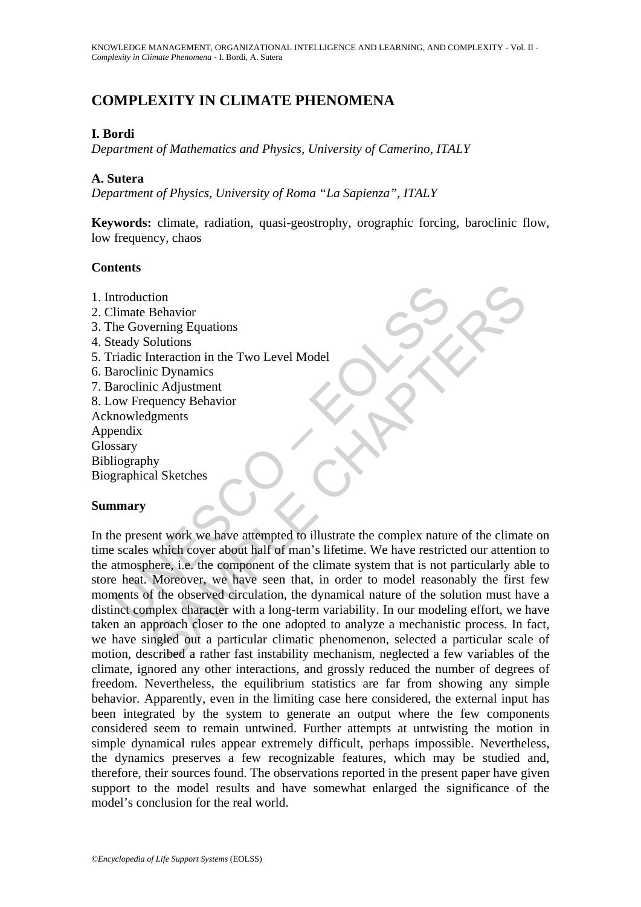# **COMPLEXITY IN CLIMATE PHENOMENA**

# **I. Bordi**

*Department of Mathematics and Physics, University of Camerino, ITALY* 

### **A. Sutera**

*Department of Physics, University of Roma "La Sapienza", ITALY* 

**Keywords:** climate, radiation, quasi-geostrophy, orographic forcing, baroclinic flow, low frequency, chaos

### **Contents**

Modulation<br>
Ilimate Behavior<br>
He Governing Equations<br>
teady Solutions<br>
radic Interaction in the Two Level Model<br>
arcolinic Dynamics<br>
arcolinic Adjustment<br>
ow Frequency Behavior<br>
mary<br>
nowledgments<br>
mary<br>
ne present work we 1. Introduction 2. Climate Behavior 3. The Governing Equations 4. Steady Solutions 5. Triadic Interaction in the Two Level Model 6. Baroclinic Dynamics 7. Baroclinic Adjustment 8. Low Frequency Behavior Acknowledgments Appendix Glossary Bibliography Biographical Sketches

### **Summary**

Framing Equations<br>
Solutions<br>
interaction in the Two Level Model<br>
ic Dynamics<br>
interaction in the Two Level Model<br>
ic Dynamics<br>
ic Adjustment<br>
quency Behavior<br>
My<br>
My<br>
al Sketches<br>
which cover about half of man's lifetime. In the present work we have attempted to illustrate the complex nature of the climate on time scales which cover about half of man's lifetime. We have restricted our attention to the atmosphere, i.e. the component of the climate system that is not particularly able to store heat. Moreover, we have seen that, in order to model reasonably the first few moments of the observed circulation, the dynamical nature of the solution must have a distinct complex character with a long-term variability. In our modeling effort, we have taken an approach closer to the one adopted to analyze a mechanistic process. In fact, we have singled out a particular climatic phenomenon, selected a particular scale of motion, described a rather fast instability mechanism, neglected a few variables of the climate, ignored any other interactions, and grossly reduced the number of degrees of freedom. Nevertheless, the equilibrium statistics are far from showing any simple behavior. Apparently, even in the limiting case here considered, the external input has been integrated by the system to generate an output where the few components considered seem to remain untwined. Further attempts at untwisting the motion in simple dynamical rules appear extremely difficult, perhaps impossible. Nevertheless, the dynamics preserves a few recognizable features, which may be studied and, therefore, their sources found. The observations reported in the present paper have given support to the model results and have somewhat enlarged the significance of the model's conclusion for the real world.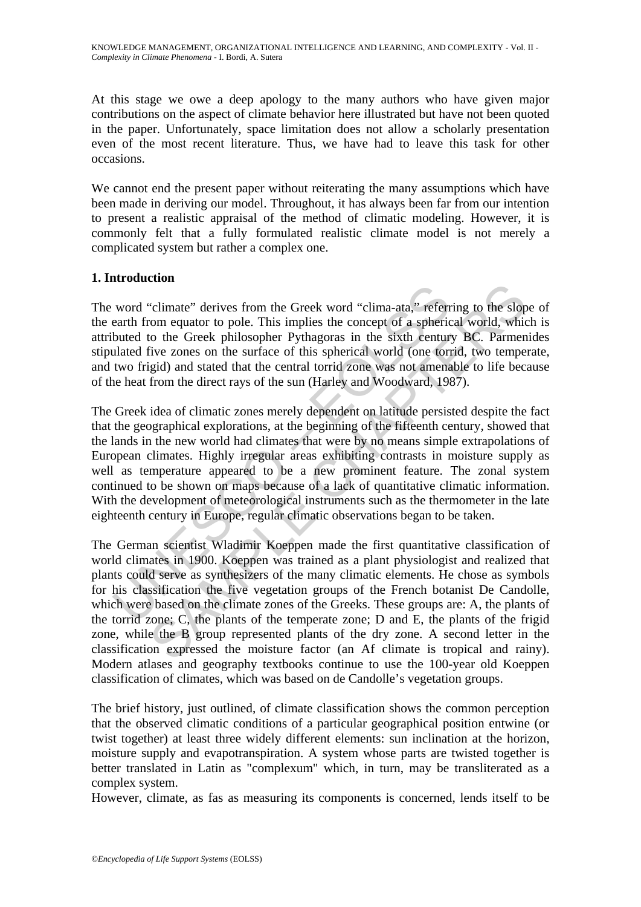KNOWLEDGE MANAGEMENT, ORGANIZATIONAL INTELLIGENCE AND LEARNING, AND COMPLEXITY **-** Vol. II - *Complexity in Climate Phenomena* - I. Bordi, A. Sutera

At this stage we owe a deep apology to the many authors who have given major contributions on the aspect of climate behavior here illustrated but have not been quoted in the paper. Unfortunately, space limitation does not allow a scholarly presentation even of the most recent literature. Thus, we have had to leave this task for other occasions.

We cannot end the present paper without reiterating the many assumptions which have been made in deriving our model. Throughout, it has always been far from our intention to present a realistic appraisal of the method of climatic modeling. However, it is commonly felt that a fully formulated realistic climate model is not merely a complicated system but rather a complex one.

## **1. Introduction**

The word "climate" derives from the Greek word "clima-ata," referring to the slope of the earth from equator to pole. This implies the concept of a spherical world, which is attributed to the Greek philosopher Pythagoras in the sixth century BC. Parmenides stipulated five zones on the surface of this spherical world (one torrid, two temperate, and two frigid) and stated that the central torrid zone was not amenable to life because of the heat from the direct rays of the sun (Harley and Woodward, 1987).

word "climate" derives from the Greek word "clima-ata," referrent from equator to pole. This implies the concept of a spheric buted to the Greek philosopher Pythagoras in the sixth centur ulated five zones on the surface o The Greek idea of climatic zones merely dependent on latitude persisted despite the fact that the geographical explorations, at the beginning of the fifteenth century, showed that the lands in the new world had climates that were by no means simple extrapolations of European climates. Highly irregular areas exhibiting contrasts in moisture supply as well as temperature appeared to be a new prominent feature. The zonal system continued to be shown on maps because of a lack of quantitative climatic information. With the development of meteorological instruments such as the thermometer in the late eighteenth century in Europe, regular climatic observations began to be taken.

Commeter derives from the Greek word "clima-ata," referring to the slop<br>"commequator to pole. This implies the concept of a spherical world, which<br>to the Greek philosopher Pythagoras in the sixth century BC. Parmen<br>five zo The German scientist Wladimir Koeppen made the first quantitative classification of world climates in 1900. Koeppen was trained as a plant physiologist and realized that plants could serve as synthesizers of the many climatic elements. He chose as symbols for his classification the five vegetation groups of the French botanist De Candolle, which were based on the climate zones of the Greeks. These groups are: A, the plants of the torrid zone; C, the plants of the temperate zone; D and E, the plants of the frigid zone, while the B group represented plants of the dry zone. A second letter in the classification expressed the moisture factor (an Af climate is tropical and rainy). Modern atlases and geography textbooks continue to use the 100-year old Koeppen classification of climates, which was based on de Candolle's vegetation groups.

The brief history, just outlined, of climate classification shows the common perception that the observed climatic conditions of a particular geographical position entwine (or twist together) at least three widely different elements: sun inclination at the horizon, moisture supply and evapotranspiration. A system whose parts are twisted together is better translated in Latin as "complexum" which, in turn, may be transliterated as a complex system.

However, climate, as fas as measuring its components is concerned, lends itself to be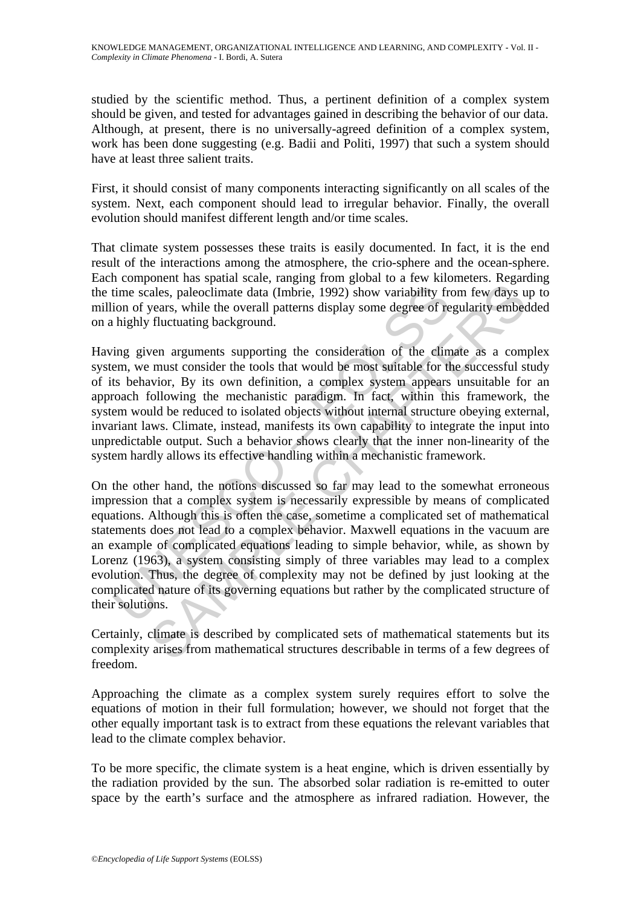studied by the scientific method. Thus, a pertinent definition of a complex system should be given, and tested for advantages gained in describing the behavior of our data. Although, at present, there is no universally-agreed definition of a complex system, work has been done suggesting (e.g. Badii and Politi, 1997) that such a system should have at least three salient traits.

First, it should consist of many components interacting significantly on all scales of the system. Next, each component should lead to irregular behavior. Finally, the overall evolution should manifest different length and/or time scales.

That climate system possesses these traits is easily documented. In fact, it is the end result of the interactions among the atmosphere, the crio-sphere and the ocean-sphere. Each component has spatial scale, ranging from global to a few kilometers. Regarding the time scales, paleoclimate data (Imbrie, 1992) show variability from few days up to million of years, while the overall patterns display some degree of regularity embedded on a highly fluctuating background.

Having given arguments supporting the consideration of the climate as a complex system, we must consider the tools that would be most suitable for the successful study of its behavior, By its own definition, a complex system appears unsuitable for an approach following the mechanistic paradigm. In fact, within this framework, the system would be reduced to isolated objects without internal structure obeying external, invariant laws. Climate, instead, manifests its own capability to integrate the input into unpredictable output. Such a behavior shows clearly that the inner non-linearity of the system hardly allows its effective handling within a mechanistic framework.

time scales, paleoclimate data (Imbrie, 1992) show variability from of years, while the overall patterns display some degree of relation of years, while the overall patterns display some degree of relation of years, while ales, paleoclimate data (Imbrie, 1992) show variability from few days unles, paleoclimate data (Imbrie, 1992) show variability from few days upears, while the overall patterns display some degree of regularity embed fluctu On the other hand, the notions discussed so far may lead to the somewhat erroneous impression that a complex system is necessarily expressible by means of complicated equations. Although this is often the case, sometime a complicated set of mathematical statements does not lead to a complex behavior. Maxwell equations in the vacuum are an example of complicated equations leading to simple behavior, while, as shown by Lorenz (1963), a system consisting simply of three variables may lead to a complex evolution. Thus, the degree of complexity may not be defined by just looking at the complicated nature of its governing equations but rather by the complicated structure of their solutions.

Certainly, climate is described by complicated sets of mathematical statements but its complexity arises from mathematical structures describable in terms of a few degrees of freedom.

Approaching the climate as a complex system surely requires effort to solve the equations of motion in their full formulation; however, we should not forget that the other equally important task is to extract from these equations the relevant variables that lead to the climate complex behavior.

To be more specific, the climate system is a heat engine, which is driven essentially by the radiation provided by the sun. The absorbed solar radiation is re-emitted to outer space by the earth's surface and the atmosphere as infrared radiation. However, the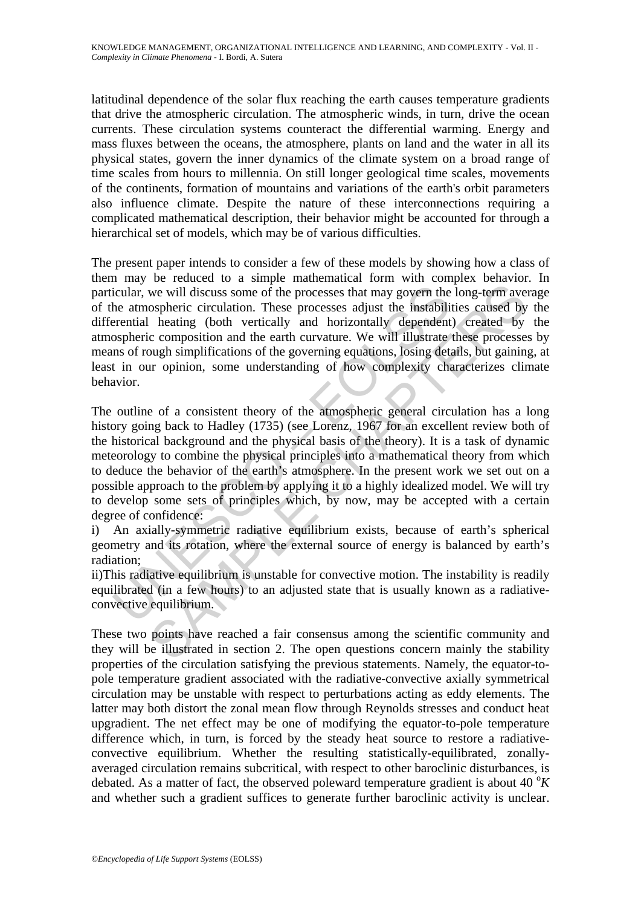latitudinal dependence of the solar flux reaching the earth causes temperature gradients that drive the atmospheric circulation. The atmospheric winds, in turn, drive the ocean currents. These circulation systems counteract the differential warming. Energy and mass fluxes between the oceans, the atmosphere, plants on land and the water in all its physical states, govern the inner dynamics of the climate system on a broad range of time scales from hours to millennia. On still longer geological time scales, movements of the continents, formation of mountains and variations of the earth's orbit parameters also influence climate. Despite the nature of these interconnections requiring a complicated mathematical description, their behavior might be accounted for through a hierarchical set of models, which may be of various difficulties.

The present paper intends to consider a few of these models by showing how a class of them may be reduced to a simple mathematical form with complex behavior. In particular, we will discuss some of the processes that may govern the long-term average of the atmospheric circulation. These processes adjust the instabilities caused by the differential heating (both vertically and horizontally dependent) created by the atmospheric composition and the earth curvature. We will illustrate these processes by means of rough simplifications of the governing equations, losing details, but gaining, at least in our opinion, some understanding of how complexity characterizes climate behavior.

icular, we will discuss some of the processes that may govern the atmospheric circulation. These processes adjust the instabili<br>rential heating (both vertically and horizontally dependent ospheric composition and the earth we will discuss some of the processes that may govern the long-term ave ospheric circulation. These processes adjust the instabilities caused by heating (both vertically depending) dependent) created by composition and he The outline of a consistent theory of the atmospheric general circulation has a long history going back to Hadley (1735) (see Lorenz, 1967 for an excellent review both of the historical background and the physical basis of the theory). It is a task of dynamic meteorology to combine the physical principles into a mathematical theory from which to deduce the behavior of the earth's atmosphere. In the present work we set out on a possible approach to the problem by applying it to a highly idealized model. We will try to develop some sets of principles which, by now, may be accepted with a certain degree of confidence:

i) An axially-symmetric radiative equilibrium exists, because of earth's spherical geometry and its rotation, where the external source of energy is balanced by earth's radiation;

ii)This radiative equilibrium is unstable for convective motion. The instability is readily equilibrated (in a few hours) to an adjusted state that is usually known as a radiativeconvective equilibrium.

These two points have reached a fair consensus among the scientific community and they will be illustrated in section 2. The open questions concern mainly the stability properties of the circulation satisfying the previous statements. Namely, the equator-topole temperature gradient associated with the radiative-convective axially symmetrical circulation may be unstable with respect to perturbations acting as eddy elements. The latter may both distort the zonal mean flow through Reynolds stresses and conduct heat upgradient. The net effect may be one of modifying the equator-to-pole temperature difference which, in turn, is forced by the steady heat source to restore a radiativeconvective equilibrium. Whether the resulting statistically-equilibrated, zonallyaveraged circulation remains subcritical, with respect to other baroclinic disturbances, is debated. As a matter of fact, the observed poleward temperature gradient is about 40  $\mathrm{^{\circ}K}$ and whether such a gradient suffices to generate further baroclinic activity is unclear.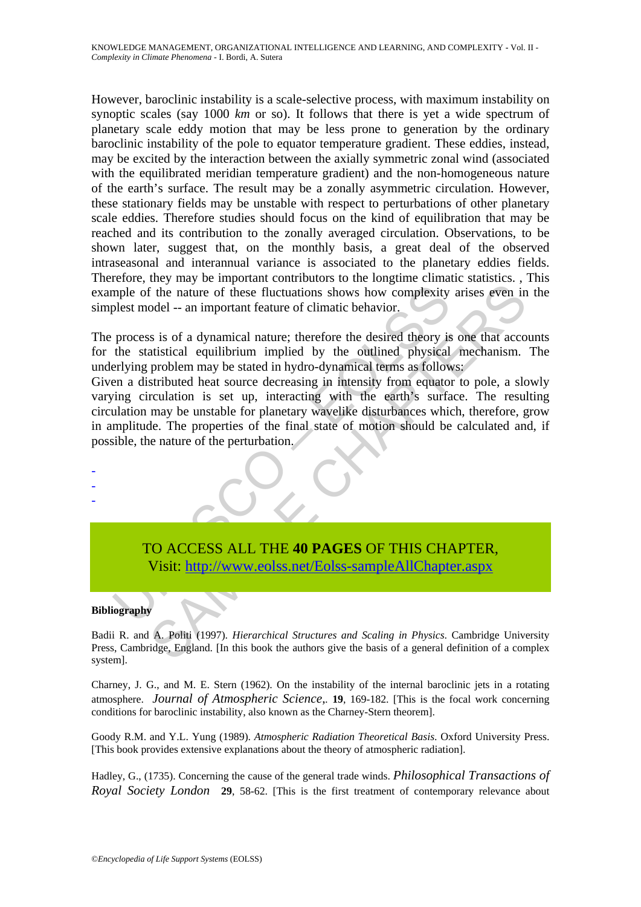However, baroclinic instability is a scale-selective process, with maximum instability on synoptic scales (say 1000 *km* or so). It follows that there is yet a wide spectrum of planetary scale eddy motion that may be less prone to generation by the ordinary baroclinic instability of the pole to equator temperature gradient. These eddies, instead, may be excited by the interaction between the axially symmetric zonal wind (associated with the equilibrated meridian temperature gradient) and the non-homogeneous nature of the earth's surface. The result may be a zonally asymmetric circulation. However, these stationary fields may be unstable with respect to perturbations of other planetary scale eddies. Therefore studies should focus on the kind of equilibration that may be reached and its contribution to the zonally averaged circulation. Observations, to be shown later, suggest that, on the monthly basis, a great deal of the observed intraseasonal and interannual variance is associated to the planetary eddies fields. Therefore, they may be important contributors to the longtime climatic statistics. , This example of the nature of these fluctuations shows how complexity arises even in the simplest model -- an important feature of climatic behavior.

The process is of a dynamical nature; therefore the desired theory is one that accounts for the statistical equilibrium implied by the outlined physical mechanism. The underlying problem may be stated in hydro-dynamical terms as follows:

mple of the nature of these fluctuations shows how complexity<br>plest model -- an important feature of climatic behavior.<br>process is of a dynamical nature; therefore the desired theory is<br>the statistical equilibrium implied The mature of these fluctuations shows how complexity arises even in<br>
odel -- an important feature of climatic behavior.<br>
Sa is of a dynamical nature; therefore the desired theory is one that acco<br>
attistical equilibrium i Given a distributed heat source decreasing in intensity from equator to pole, a slowly varying circulation is set up, interacting with the earth's surface. The resulting circulation may be unstable for planetary wavelike disturbances which, therefore, grow in amplitude. The properties of the final state of motion should be calculated and, if possible, the nature of the perturbation.



#### **Bibliography**

- - -

Badii R. and A. Politi (1997). *Hierarchical Structures and Scaling in Physics*. Cambridge University Press, Cambridge, England. [In this book the authors give the basis of a general definition of a complex system].

Charney, J. G., and M. E. Stern (1962). On the instability of the internal baroclinic jets in a rotating atmosphere. *Journal of Atmospheric Science*,*.* **19**, 169-182. [This is the focal work concerning conditions for baroclinic instability, also known as the Charney-Stern theorem].

Goody R.M. and Y.L. Yung (1989). *Atmospheric Radiation Theoretical Basis*. Oxford University Press. [This book provides extensive explanations about the theory of atmospheric radiation].

Hadley, G., (1735). Concerning the cause of the general trade winds. *Philosophical Transactions of Royal Society London* **29**, 58-62. [This is the first treatment of contemporary relevance about